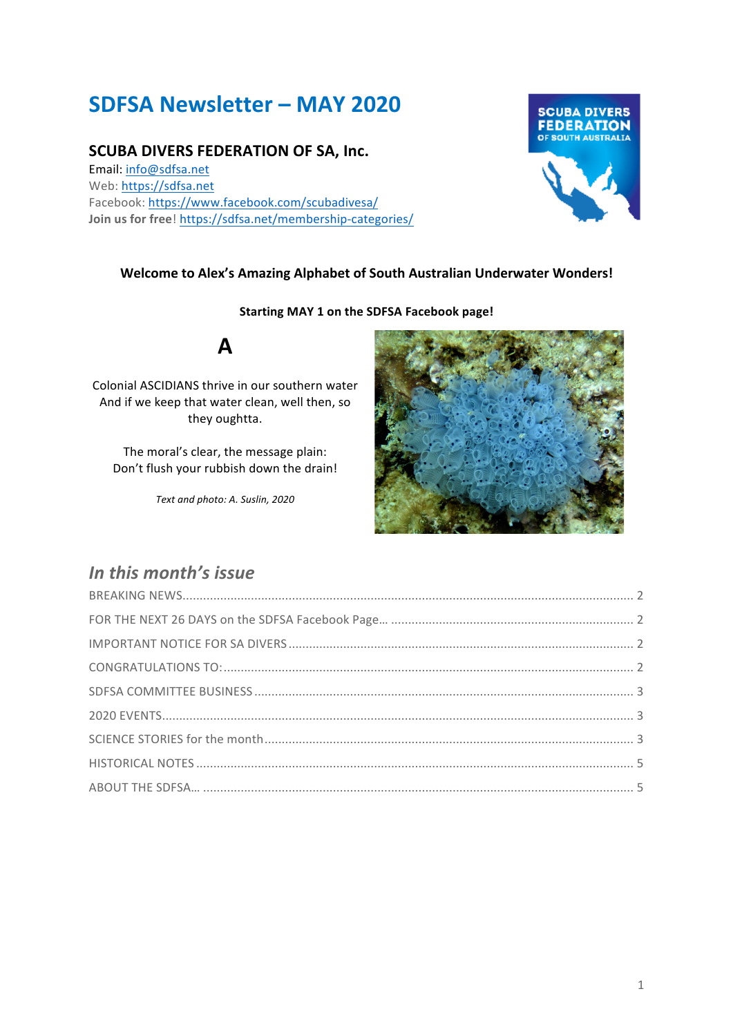# **SDFSA Newsletter – MAY 2020**

### **SCUBA DIVERS FEDERATION OF SA, Inc.**

Email: info@sdfsa.net Web: https://sdfsa.net Facebook: https://www.facebook.com/scubadivesa/ **Join us for free! https://sdfsa.net/membership-categories/** 



### **Welcome to Alex's Amazing Alphabet of South Australian Underwater Wonders!**

#### **Starting MAY 1 on the SDFSA Facebook page!**



Colonial ASCIDIANS thrive in our southern water And if we keep that water clean, well then, so they oughtta.

The moral's clear, the message plain: Don't flush your rubbish down the drain!

*Text and photo: A. Suslin, 2020*



### In this month's issue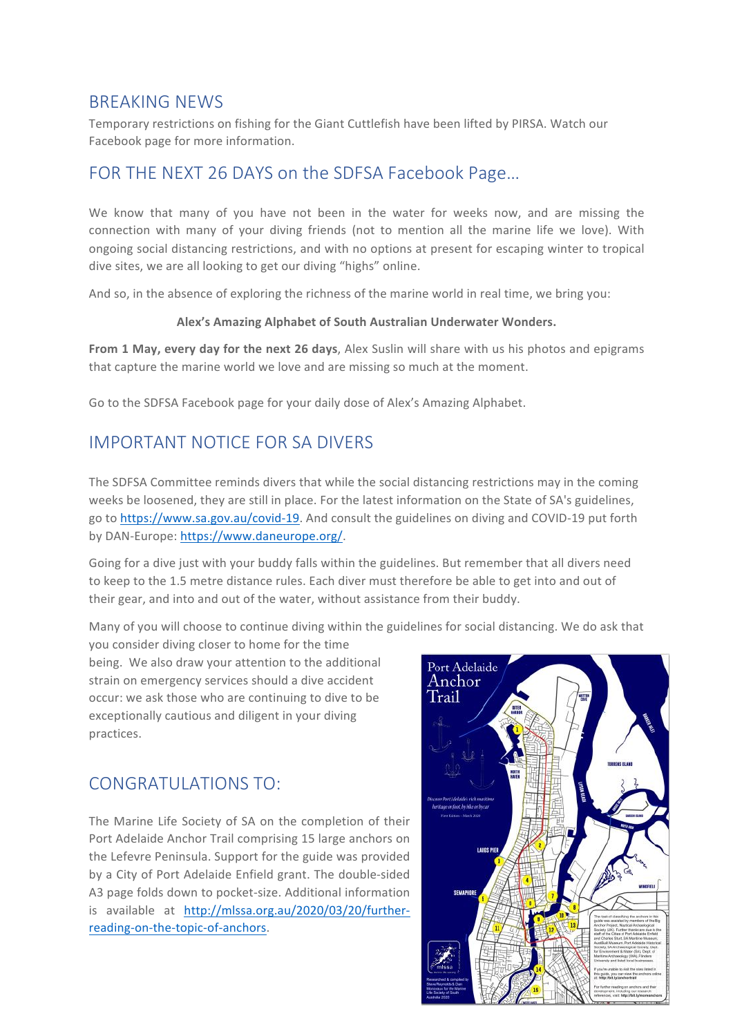### BREAKING NEWS

Temporary restrictions on fishing for the Giant Cuttlefish have been lifted by PIRSA. Watch our Facebook page for more information.

# FOR THE NEXT 26 DAYS on the SDFSA Facebook Page…

We know that many of you have not been in the water for weeks now, and are missing the connection with many of your diving friends (not to mention all the marine life we love). With ongoing social distancing restrictions, and with no options at present for escaping winter to tropical dive sites, we are all looking to get our diving "highs" online.

And so, in the absence of exploring the richness of the marine world in real time, we bring you:

#### **Alex's Amazing Alphabet of South Australian Underwater Wonders.**

**From 1 May, every day for the next 26 days**, Alex Suslin will share with us his photos and epigrams that capture the marine world we love and are missing so much at the moment.

Go to the SDFSA Facebook page for your daily dose of Alex's Amazing Alphabet.

# IMPORTANT NOTICE FOR SA DIVERS

The SDFSA Committee reminds divers that while the social distancing restrictions may in the coming weeks be loosened, they are still in place. For the latest information on the State of SA's guidelines, go to https://www.sa.gov.au/covid-19. And consult the guidelines on diving and COVID-19 put forth by DAN-Europe: https://www.daneurope.org/.

Going for a dive just with your buddy falls within the guidelines. But remember that all divers need to keep to the 1.5 metre distance rules. Each diver must therefore be able to get into and out of their gear, and into and out of the water, without assistance from their buddy.

Many of you will choose to continue diving within the guidelines for social distancing. We do ask that

you consider diving closer to home for the time being. We also draw your attention to the additional strain on emergency services should a dive accident occur: we ask those who are continuing to dive to be exceptionally cautious and diligent in your diving practices.

# CONGRATULATIONS TO:

The Marine Life Society of SA on the completion of their Port Adelaide Anchor Trail comprising 15 large anchors on the Lefevre Peninsula. Support for the guide was provided by a City of Port Adelaide Enfield grant. The double-sided A3 page folds down to pocket-size. Additional information is available at http://mlssa.org.au/2020/03/20/furtherreading-on-the-topic-of-anchors.

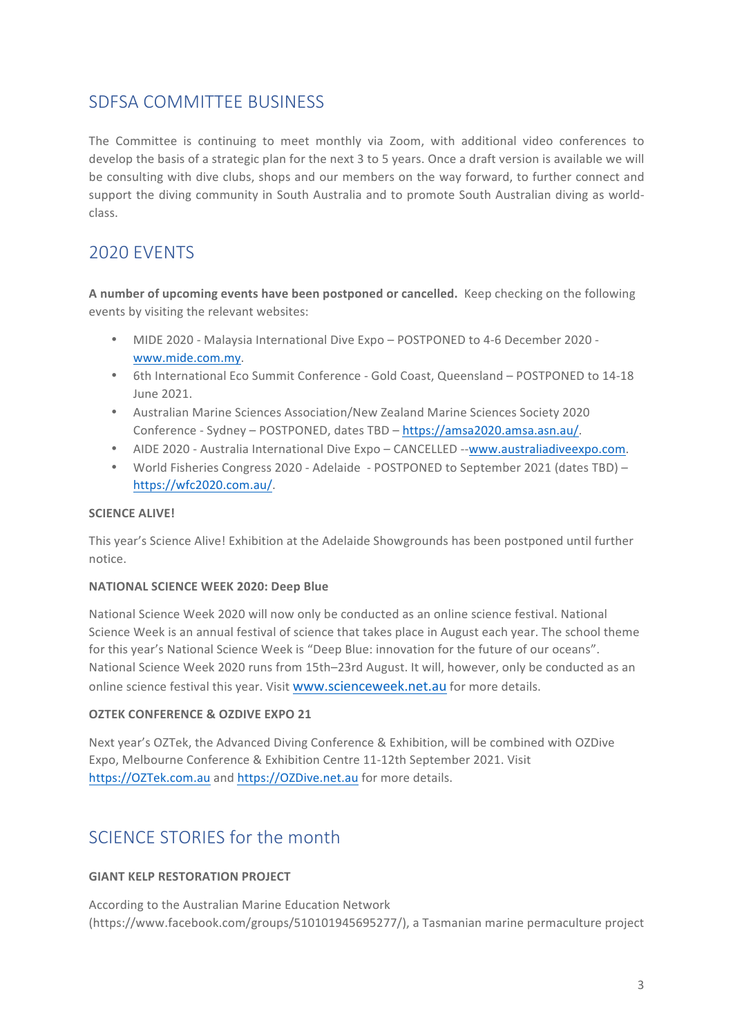### SDFSA COMMITTEE BUSINESS

The Committee is continuing to meet monthly via Zoom, with additional video conferences to develop the basis of a strategic plan for the next 3 to 5 years. Once a draft version is available we will be consulting with dive clubs, shops and our members on the way forward, to further connect and support the diving community in South Australia and to promote South Australian diving as worldclass. 

# 2020 EVENTS

**A** number of upcoming events have been postponed or cancelled. Keep checking on the following events by visiting the relevant websites:

- MIDE 2020 Malaysia International Dive Expo POSTPONED to 4-6 December 2020 www.mide.com.my.
- 6th International Eco Summit Conference Gold Coast, Queensland POSTPONED to 14-18 June 2021.
- Australian Marine Sciences Association/New Zealand Marine Sciences Society 2020 Conference - Sydney - POSTPONED, dates TBD - https://amsa2020.amsa.asn.au/.
- AIDE 2020 Australia International Dive Expo CANCELLED --www.australiadiveexpo.com.
- World Fisheries Congress 2020 Adelaide POSTPONED to September 2021 (dates TBD) https://wfc2020.com.au/.

#### **SCIENCE ALIVE!**

This year's Science Alive! Exhibition at the Adelaide Showgrounds has been postponed until further notice.

### **NATIONAL SCIENCE WEEK 2020: Deep Blue**

National Science Week 2020 will now only be conducted as an online science festival. National Science Week is an annual festival of science that takes place in August each year. The school theme for this year's National Science Week is "Deep Blue: innovation for the future of our oceans". National Science Week 2020 runs from 15th–23rd August. It will, however, only be conducted as an online science festival this year. Visit www.scienceweek.net.au for more details.

### **OZTEK CONFERENCE & OZDIVE EXPO 21**

Next year's OZTek, the Advanced Diving Conference & Exhibition, will be combined with OZDive Expo, Melbourne Conference & Exhibition Centre 11-12th September 2021. Visit https://OZTek.com.au and https://OZDive.net.au for more details.

# SCIENCE STORIES for the month

### **GIANT KELP RESTORATION PROJECT**

According to the Australian Marine Education Network (https://www.facebook.com/groups/510101945695277/), a Tasmanian marine permaculture project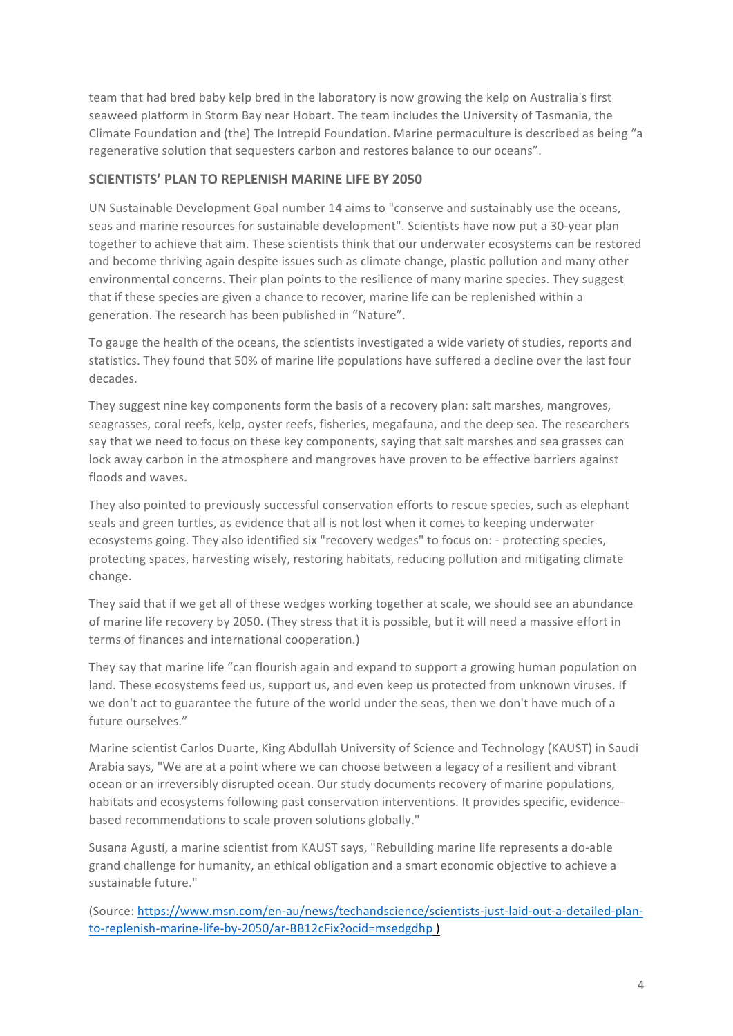team that had bred baby kelp bred in the laboratory is now growing the kelp on Australia's first seaweed platform in Storm Bay near Hobart. The team includes the University of Tasmania, the Climate Foundation and (the) The Intrepid Foundation. Marine permaculture is described as being "a regenerative solution that sequesters carbon and restores balance to our oceans".

### **SCIENTISTS' PLAN TO REPLENISH MARINE LIFE BY 2050**

UN Sustainable Development Goal number 14 aims to "conserve and sustainably use the oceans, seas and marine resources for sustainable development". Scientists have now put a 30-year plan together to achieve that aim. These scientists think that our underwater ecosystems can be restored and become thriving again despite issues such as climate change, plastic pollution and many other environmental concerns. Their plan points to the resilience of many marine species. They suggest that if these species are given a chance to recover, marine life can be replenished within a generation. The research has been published in "Nature".

To gauge the health of the oceans, the scientists investigated a wide variety of studies, reports and statistics. They found that 50% of marine life populations have suffered a decline over the last four decades.

They suggest nine key components form the basis of a recovery plan: salt marshes, mangroves, seagrasses, coral reefs, kelp, oyster reefs, fisheries, megafauna, and the deep sea. The researchers say that we need to focus on these key components, saying that salt marshes and sea grasses can lock away carbon in the atmosphere and mangroves have proven to be effective barriers against floods and waves.

They also pointed to previously successful conservation efforts to rescue species, such as elephant seals and green turtles, as evidence that all is not lost when it comes to keeping underwater ecosystems going. They also identified six "recovery wedges" to focus on: - protecting species, protecting spaces, harvesting wisely, restoring habitats, reducing pollution and mitigating climate change.

They said that if we get all of these wedges working together at scale, we should see an abundance of marine life recovery by 2050. (They stress that it is possible, but it will need a massive effort in terms of finances and international cooperation.)

They say that marine life "can flourish again and expand to support a growing human population on land. These ecosystems feed us, support us, and even keep us protected from unknown viruses. If we don't act to guarantee the future of the world under the seas, then we don't have much of a future ourselves."

Marine scientist Carlos Duarte, King Abdullah University of Science and Technology (KAUST) in Saudi Arabia says, "We are at a point where we can choose between a legacy of a resilient and vibrant ocean or an irreversibly disrupted ocean. Our study documents recovery of marine populations, habitats and ecosystems following past conservation interventions. It provides specific, evidencebased recommendations to scale proven solutions globally."

Susana Agustí, a marine scientist from KAUST says, "Rebuilding marine life represents a do-able grand challenge for humanity, an ethical obligation and a smart economic objective to achieve a sustainable future."

(Source: https://www.msn.com/en-au/news/techandscience/scientists-just-laid-out-a-detailed-planto-replenish-marine-life-by-2050/ar-BB12cFix?ocid=msedgdhp )